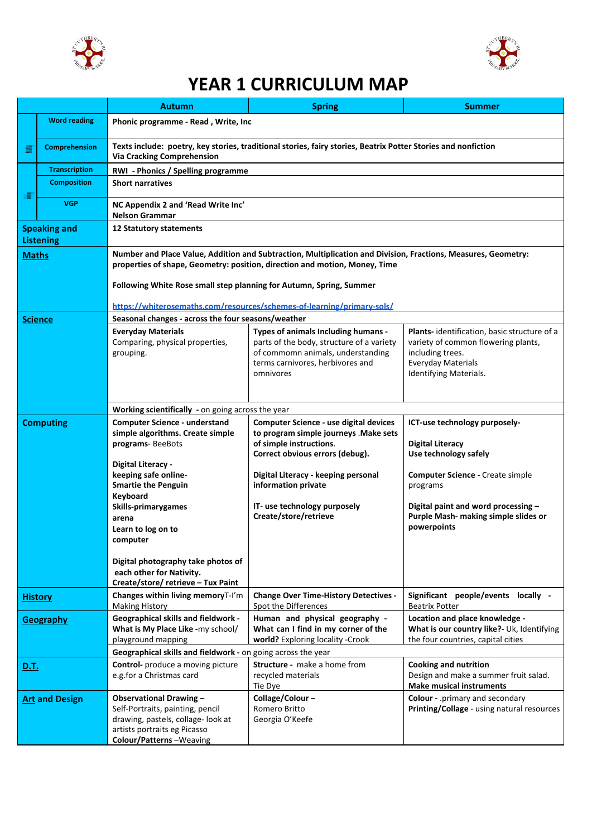



## **YEAR 1 CURRICULUM MAP**

|                                         |                       | <b>Autumn</b>                                                                                                                                                                                                                                                      | <b>Spring</b>                                                                                                                                                          | <b>Summer</b>                                                                                                                                                              |  |  |
|-----------------------------------------|-----------------------|--------------------------------------------------------------------------------------------------------------------------------------------------------------------------------------------------------------------------------------------------------------------|------------------------------------------------------------------------------------------------------------------------------------------------------------------------|----------------------------------------------------------------------------------------------------------------------------------------------------------------------------|--|--|
|                                         | <b>Word reading</b>   | Phonic programme - Read, Write, Inc                                                                                                                                                                                                                                |                                                                                                                                                                        |                                                                                                                                                                            |  |  |
|                                         | <b>Comprehension</b>  | Texts include: poetry, key stories, traditional stories, fairy stories, Beatrix Potter Stories and nonfiction<br><b>Via Cracking Comprehension</b>                                                                                                                 |                                                                                                                                                                        |                                                                                                                                                                            |  |  |
|                                         | <b>Transcription</b>  | <b>RWI</b> - Phonics / Spelling programme                                                                                                                                                                                                                          |                                                                                                                                                                        |                                                                                                                                                                            |  |  |
| п                                       | <b>Composition</b>    | <b>Short narratives</b>                                                                                                                                                                                                                                            |                                                                                                                                                                        |                                                                                                                                                                            |  |  |
|                                         | <b>VGP</b>            | NC Appendix 2 and 'Read Write Inc'<br><b>Nelson Grammar</b>                                                                                                                                                                                                        |                                                                                                                                                                        |                                                                                                                                                                            |  |  |
| <b>Speaking and</b><br><b>Listening</b> |                       | 12 Statutory statements                                                                                                                                                                                                                                            |                                                                                                                                                                        |                                                                                                                                                                            |  |  |
| <b>Maths</b>                            |                       | Number and Place Value, Addition and Subtraction, Multiplication and Division, Fractions, Measures, Geometry:<br>properties of shape, Geometry: position, direction and motion, Money, Time<br>Following White Rose small step planning for Autumn, Spring, Summer |                                                                                                                                                                        |                                                                                                                                                                            |  |  |
|                                         |                       |                                                                                                                                                                                                                                                                    |                                                                                                                                                                        |                                                                                                                                                                            |  |  |
|                                         |                       | https://whiterosemaths.com/resources/schemes-of-learning/primary-sols/                                                                                                                                                                                             |                                                                                                                                                                        |                                                                                                                                                                            |  |  |
| <b>Science</b>                          |                       | Seasonal changes - across the four seasons/weather                                                                                                                                                                                                                 |                                                                                                                                                                        |                                                                                                                                                                            |  |  |
|                                         |                       | <b>Everyday Materials</b><br>Comparing, physical properties,<br>grouping.                                                                                                                                                                                          | Types of animals Including humans -<br>parts of the body, structure of a variety<br>of commomn animals, understanding<br>terms carnivores, herbivores and<br>omnivores | Plants- identification, basic structure of a<br>variety of common flowering plants,<br>including trees.<br><b>Everyday Materials</b><br>Identifying Materials.             |  |  |
|                                         |                       | Working scientifically - on going across the year                                                                                                                                                                                                                  |                                                                                                                                                                        |                                                                                                                                                                            |  |  |
| <b>Computing</b>                        |                       | <b>Computer Science - understand</b><br>simple algorithms. Create simple<br>programs-BeeBots                                                                                                                                                                       | Computer Science - use digital devices<br>to program simple journeys . Make sets<br>of simple instructions.                                                            | ICT-use technology purposely-<br><b>Digital Literacy</b>                                                                                                                   |  |  |
|                                         |                       | Digital Literacy -<br>keeping safe online-<br><b>Smartie the Penguin</b><br>Keyboard<br>Skills-primarygames<br>arena<br>Learn to log on to<br>computer                                                                                                             | Correct obvious errors (debug).<br>Digital Literacy - keeping personal<br>information private<br>IT- use technology purposely<br>Create/store/retrieve                 | Use technology safely<br><b>Computer Science - Create simple</b><br>programs<br>Digital paint and word processing -<br>Purple Mash- making simple slides or<br>powerpoints |  |  |
|                                         |                       | Digital photography take photos of<br>each other for Nativity.<br>Create/store/ retrieve - Tux Paint                                                                                                                                                               |                                                                                                                                                                        |                                                                                                                                                                            |  |  |
|                                         | <b>History</b>        | Changes within living memoryT-I'm<br><b>Making History</b>                                                                                                                                                                                                         | <b>Change Over Time-History Detectives -</b><br>Spot the Differences                                                                                                   | Significant people/events locally -<br><b>Beatrix Potter</b>                                                                                                               |  |  |
| Geography                               |                       | <b>Geographical skills and fieldwork -</b><br>What is My Place Like -my school/<br>playground mapping                                                                                                                                                              | Human and physical geography -<br>What can I find in my corner of the<br>world? Exploring locality - Crook                                                             | Location and place knowledge -<br>What is our country like?- Uk, Identifying<br>the four countries, capital cities                                                         |  |  |
|                                         |                       | Geographical skills and fieldwork - on going across the year                                                                                                                                                                                                       |                                                                                                                                                                        |                                                                                                                                                                            |  |  |
| <u>D.T.</u>                             |                       | <b>Control-</b> produce a moving picture<br>e.g.for a Christmas card                                                                                                                                                                                               | Structure - make a home from<br>recycled materials<br>Tie Dye                                                                                                          | <b>Cooking and nutrition</b><br>Design and make a summer fruit salad.<br><b>Make musical instruments</b>                                                                   |  |  |
|                                         | <b>Art and Design</b> | Observational Drawing-<br>Self-Portraits, painting, pencil<br>drawing, pastels, collage- look at<br>artists portraits eg Picasso<br>Colour/Patterns-Weaving                                                                                                        | Collage/Colour-<br>Romero Britto<br>Georgia O'Keefe                                                                                                                    | Colour - .primary and secondary<br>Printing/Collage - using natural resources                                                                                              |  |  |